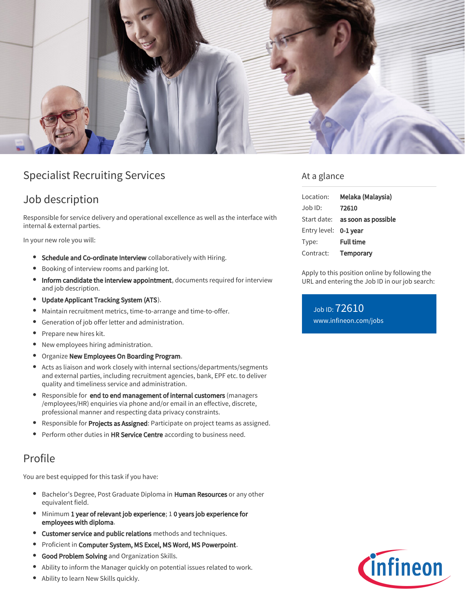

# Specialist Recruiting Services

### Job description

Responsible for service delivery and operational excellence as well as the interface with internal & external parties.

In your new role you will:

- **Schedule and Co-ordinate Interview** collaboratively with Hiring.
- Booking of interview rooms and parking lot.
- Inform candidate the interview appointment, documents required for interview and job description.
- Update Applicant Tracking System (ATS).
- $\bullet$ Maintain recruitment metrics, time-to-arrange and time-to-offer.
- Generation of job offer letter and administration.
- $\bullet$ Prepare new hires kit.
- New employees hiring administration.
- **Organize New Employees On Boarding Program.**
- Acts as liaison and work closely with internal sections/departments/segments and external parties, including recruitment agencies, bank, EPF etc. to deliver quality and timeliness service and administration.
- Responsible for end to end management of internal customers (managers /employees/HR) enquiries via phone and/or email in an effective, discrete, professional manner and respecting data privacy constraints.
- Responsible for Projects as Assigned: Participate on project teams as assigned.
- **•** Perform other duties in HR Service Centre according to business need.

### Profile

You are best equipped for this task if you have:

- Bachelor's Degree, Post Graduate Diploma in Human Resources or any other equivalent field.
- Minimum 1 year of relevant job experience; 1 0 years job experience for employees with diploma.
- **Customer service and public relations** methods and techniques.
- $\bullet$ Proficient in Computer System, MS Excel, MS Word, MS Powerpoint.
- $\bullet$ Good Problem Solving and Organization Skills.
- Ability to inform the Manager quickly on potential issues related to work.
- Ability to learn New Skills quickly.

### At a glance

| Location:             | Melaka (Malaysia)               |
|-----------------------|---------------------------------|
| $Job$ ID:             | 72610                           |
|                       | Start date: as soon as possible |
| Entry level: 0-1 year |                                 |
| Type:                 | <b>Full time</b>                |
| Contract:             | <b>Temporary</b>                |

Apply to this position online by following the URL and entering the Job ID in our job search:

Job ID: 72610 [www.infineon.com/jobs](https://www.infineon.com/jobs)